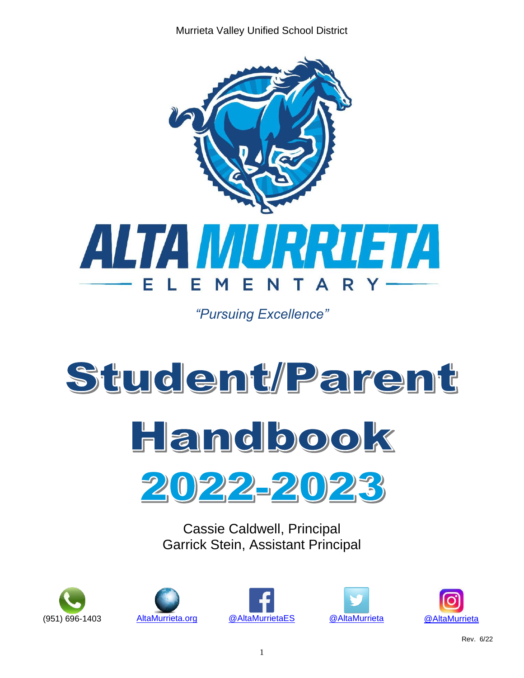Murrieta Valley Unified School District



*"Pursuing Excellence"*







Cassie Caldwell, Principal Garrick Stein, Assistant Principal









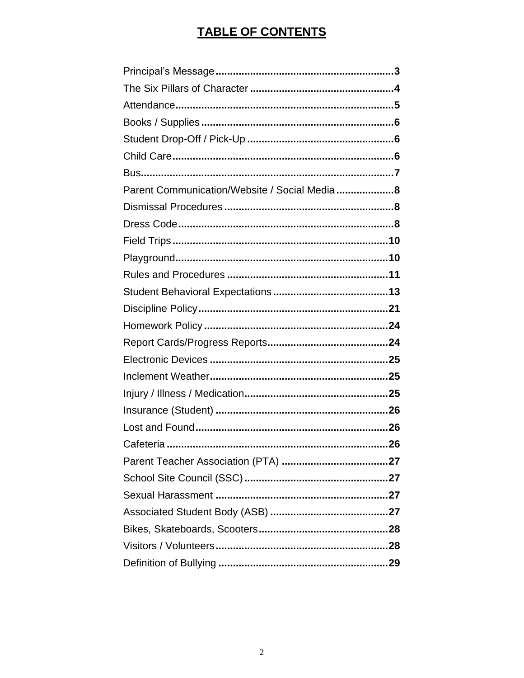# **TABLE OF CONTENTS**

| Parent Communication/Website / Social Media8 |  |
|----------------------------------------------|--|
|                                              |  |
|                                              |  |
|                                              |  |
|                                              |  |
|                                              |  |
|                                              |  |
|                                              |  |
|                                              |  |
|                                              |  |
|                                              |  |
|                                              |  |
|                                              |  |
|                                              |  |
|                                              |  |
|                                              |  |
|                                              |  |
|                                              |  |
|                                              |  |
|                                              |  |
|                                              |  |
|                                              |  |
|                                              |  |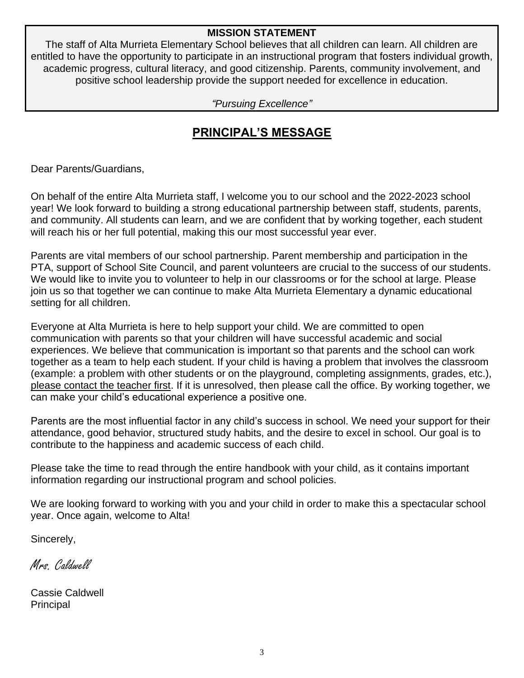### **MISSION STATEMENT**

The staff of Alta Murrieta Elementary School believes that all children can learn. All children are entitled to have the opportunity to participate in an instructional program that fosters individual growth, academic progress, cultural literacy, and good citizenship. Parents, community involvement, and positive school leadership provide the support needed for excellence in education.

*"Pursuing Excellence"*

# **PRINCIPAL'S MESSAGE**

Dear Parents/Guardians,

On behalf of the entire Alta Murrieta staff, I welcome you to our school and the 2022-2023 school year! We look forward to building a strong educational partnership between staff, students, parents, and community. All students can learn, and we are confident that by working together, each student will reach his or her full potential, making this our most successful year ever.

Parents are vital members of our school partnership. Parent membership and participation in the PTA, support of School Site Council, and parent volunteers are crucial to the success of our students. We would like to invite you to volunteer to help in our classrooms or for the school at large. Please join us so that together we can continue to make Alta Murrieta Elementary a dynamic educational setting for all children.

Everyone at Alta Murrieta is here to help support your child. We are committed to open communication with parents so that your children will have successful academic and social experiences. We believe that communication is important so that parents and the school can work together as a team to help each student. If your child is having a problem that involves the classroom (example: a problem with other students or on the playground, completing assignments, grades, etc.), please contact the teacher first. If it is unresolved, then please call the office. By working together, we can make your child's educational experience a positive one.

Parents are the most influential factor in any child's success in school. We need your support for their attendance, good behavior, structured study habits, and the desire to excel in school. Our goal is to contribute to the happiness and academic success of each child.

Please take the time to read through the entire handbook with your child, as it contains important information regarding our instructional program and school policies.

We are looking forward to working with you and your child in order to make this a spectacular school year. Once again, welcome to Alta!

Sincerely,

Mrs Caldwell

Cassie Caldwell Principal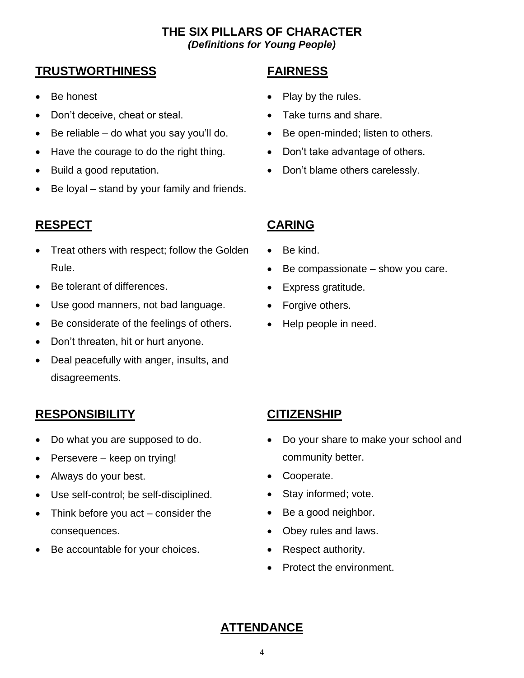### **THE SIX PILLARS OF CHARACTER**  *(Definitions for Young People)*

# **TRUSTWORTHINESS FAIRNESS**

- Be honest
- Don't deceive, cheat or steal.
- Be reliable do what you say you'll do.
- Have the courage to do the right thing.
- Build a good reputation.
- Be loyal stand by your family and friends.

# **RESPECT CARING**

- Treat others with respect; follow the Golden Rule.
- Be tolerant of differences.
- Use good manners, not bad language.
- Be considerate of the feelings of others.
- Don't threaten, hit or hurt anyone.
- Deal peacefully with anger, insults, and disagreements.

# **RESPONSIBILITY CITIZENSHIP**

- Do what you are supposed to do.
- Persevere keep on trying!
- Always do your best.
- Use self-control; be self-disciplined.
- Think before you act consider the consequences.
- Be accountable for your choices.

- Play by the rules.
- Take turns and share.
- Be open-minded; listen to others.
- Don't take advantage of others.
- Don't blame others carelessly.

- Be kind.
- Be compassionate  $-$  show you care.
- Express gratitude.
- Forgive others.
- Help people in need.

- Do your share to make your school and community better.
- Cooperate.
- Stay informed; vote.
- Be a good neighbor.
- Obey rules and laws.
- Respect authority.
- Protect the environment.

# **ATTENDANCE**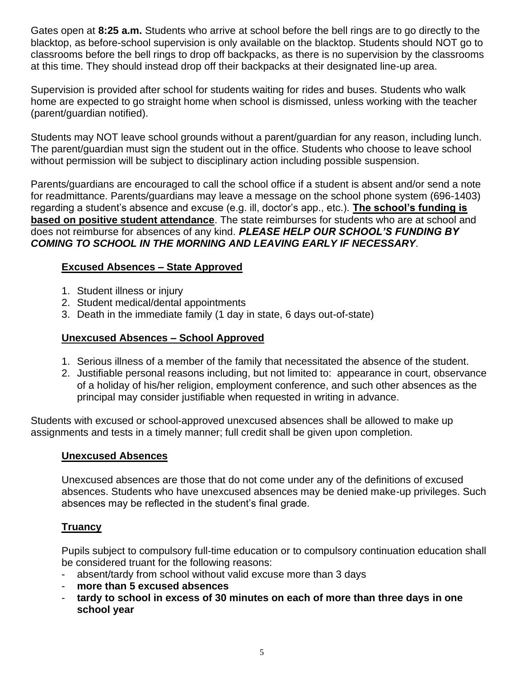Gates open at **8:25 a.m.** Students who arrive at school before the bell rings are to go directly to the blacktop, as before-school supervision is only available on the blacktop. Students should NOT go to classrooms before the bell rings to drop off backpacks, as there is no supervision by the classrooms at this time. They should instead drop off their backpacks at their designated line-up area.

Supervision is provided after school for students waiting for rides and buses. Students who walk home are expected to go straight home when school is dismissed, unless working with the teacher (parent/guardian notified).

Students may NOT leave school grounds without a parent/guardian for any reason, including lunch. The parent/guardian must sign the student out in the office. Students who choose to leave school without permission will be subject to disciplinary action including possible suspension.

Parents/guardians are encouraged to call the school office if a student is absent and/or send a note for readmittance. Parents/guardians may leave a message on the school phone system (696-1403) regarding a student's absence and excuse (e.g. ill, doctor's app., etc.). **The school's funding is based on positive student attendance**. The state reimburses for students who are at school and does not reimburse for absences of any kind. *PLEASE HELP OUR SCHOOL'S FUNDING BY COMING TO SCHOOL IN THE MORNING AND LEAVING EARLY IF NECESSARY.*

### **Excused Absences – State Approved**

- 1. Student illness or injury
- 2. Student medical/dental appointments
- 3. Death in the immediate family (1 day in state, 6 days out-of-state)

### **Unexcused Absences – School Approved**

- 1. Serious illness of a member of the family that necessitated the absence of the student.
- 2. Justifiable personal reasons including, but not limited to: appearance in court, observance of a holiday of his/her religion, employment conference, and such other absences as the principal may consider justifiable when requested in writing in advance.

Students with excused or school-approved unexcused absences shall be allowed to make up assignments and tests in a timely manner; full credit shall be given upon completion.

### **Unexcused Absences**

Unexcused absences are those that do not come under any of the definitions of excused absences. Students who have unexcused absences may be denied make-up privileges. Such absences may be reflected in the student's final grade.

### **Truancy**

Pupils subject to compulsory full-time education or to compulsory continuation education shall be considered truant for the following reasons:

- absent/tardy from school without valid excuse more than 3 days
- **more than 5 excused absences**
- **tardy to school in excess of 30 minutes on each of more than three days in one school year**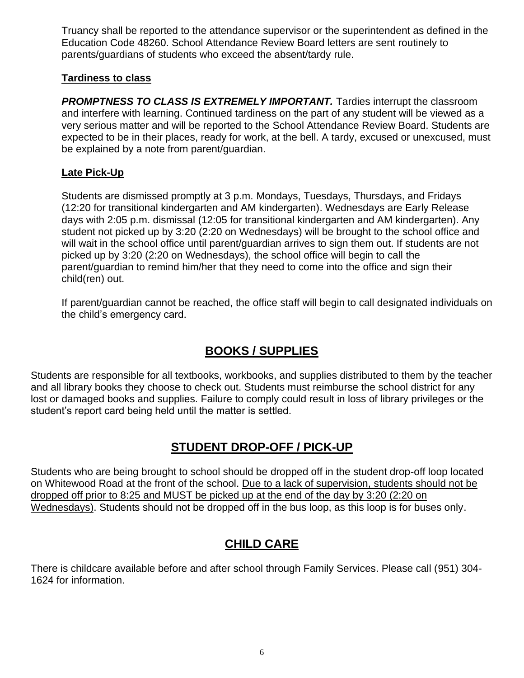Truancy shall be reported to the attendance supervisor or the superintendent as defined in the Education Code 48260. School Attendance Review Board letters are sent routinely to parents/guardians of students who exceed the absent/tardy rule.

### **Tardiness to class**

*PROMPTNESS TO CLASS IS EXTREMELY IMPORTANT.* Tardies interrupt the classroom and interfere with learning. Continued tardiness on the part of any student will be viewed as a very serious matter and will be reported to the School Attendance Review Board. Students are expected to be in their places, ready for work, at the bell. A tardy, excused or unexcused, must be explained by a note from parent/guardian.

### **Late Pick-Up**

Students are dismissed promptly at 3 p.m. Mondays, Tuesdays, Thursdays, and Fridays (12:20 for transitional kindergarten and AM kindergarten). Wednesdays are Early Release days with 2:05 p.m. dismissal (12:05 for transitional kindergarten and AM kindergarten). Any student not picked up by 3:20 (2:20 on Wednesdays) will be brought to the school office and will wait in the school office until parent/guardian arrives to sign them out. If students are not picked up by 3:20 (2:20 on Wednesdays), the school office will begin to call the parent/guardian to remind him/her that they need to come into the office and sign their child(ren) out.

If parent/guardian cannot be reached, the office staff will begin to call designated individuals on the child's emergency card.

# **BOOKS / SUPPLIES**

Students are responsible for all textbooks, workbooks, and supplies distributed to them by the teacher and all library books they choose to check out. Students must reimburse the school district for any lost or damaged books and supplies. Failure to comply could result in loss of library privileges or the student's report card being held until the matter is settled.

# **STUDENT DROP-OFF / PICK-UP**

Students who are being brought to school should be dropped off in the student drop-off loop located on Whitewood Road at the front of the school. Due to a lack of supervision, students should not be dropped off prior to 8:25 and MUST be picked up at the end of the day by 3:20 (2:20 on Wednesdays). Students should not be dropped off in the bus loop, as this loop is for buses only.

# **CHILD CARE**

There is childcare available before and after school through Family Services. Please call (951) 304- 1624 for information.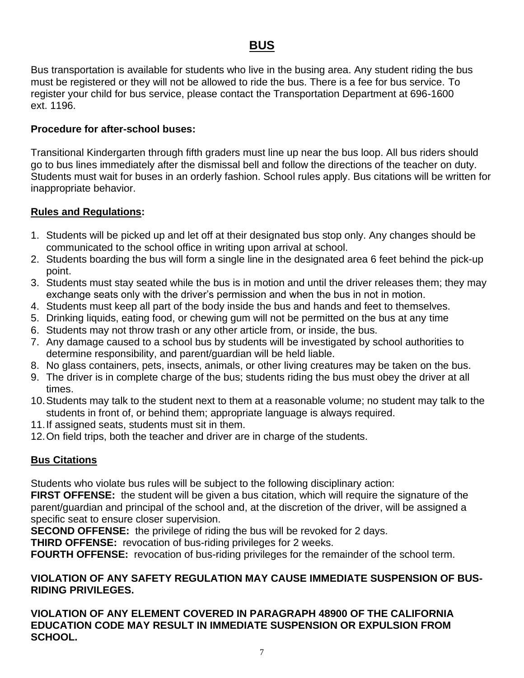# **BUS**

Bus transportation is available for students who live in the busing area. Any student riding the bus must be registered or they will not be allowed to ride the bus. There is a fee for bus service. To register your child for bus service, please contact the Transportation Department at 696-1600 ext. 1196.

### **Procedure for after-school buses:**

Transitional Kindergarten through fifth graders must line up near the bus loop. All bus riders should go to bus lines immediately after the dismissal bell and follow the directions of the teacher on duty. Students must wait for buses in an orderly fashion. School rules apply. Bus citations will be written for inappropriate behavior.

### **Rules and Regulations:**

- 1. Students will be picked up and let off at their designated bus stop only. Any changes should be communicated to the school office in writing upon arrival at school.
- 2. Students boarding the bus will form a single line in the designated area 6 feet behind the pick-up point.
- 3. Students must stay seated while the bus is in motion and until the driver releases them; they may exchange seats only with the driver's permission and when the bus in not in motion.
- 4. Students must keep all part of the body inside the bus and hands and feet to themselves.
- 5. Drinking liquids, eating food, or chewing gum will not be permitted on the bus at any time
- 6. Students may not throw trash or any other article from, or inside, the bus.
- 7. Any damage caused to a school bus by students will be investigated by school authorities to determine responsibility, and parent/guardian will be held liable.
- 8. No glass containers, pets, insects, animals, or other living creatures may be taken on the bus.
- 9. The driver is in complete charge of the bus; students riding the bus must obey the driver at all times.
- 10.Students may talk to the student next to them at a reasonable volume; no student may talk to the students in front of, or behind them; appropriate language is always required.
- 11.If assigned seats, students must sit in them.
- 12.On field trips, both the teacher and driver are in charge of the students.

### **Bus Citations**

Students who violate bus rules will be subject to the following disciplinary action:

**FIRST OFFENSE:** the student will be given a bus citation, which will require the signature of the parent/guardian and principal of the school and, at the discretion of the driver, will be assigned a specific seat to ensure closer supervision.

**SECOND OFFENSE:** the privilege of riding the bus will be revoked for 2 days.

**THIRD OFFENSE:** revocation of bus-riding privileges for 2 weeks.

**FOURTH OFFENSE:** revocation of bus-riding privileges for the remainder of the school term.

#### **VIOLATION OF ANY SAFETY REGULATION MAY CAUSE IMMEDIATE SUSPENSION OF BUS-RIDING PRIVILEGES.**

**VIOLATION OF ANY ELEMENT COVERED IN PARAGRAPH 48900 OF THE CALIFORNIA EDUCATION CODE MAY RESULT IN IMMEDIATE SUSPENSION OR EXPULSION FROM SCHOOL.**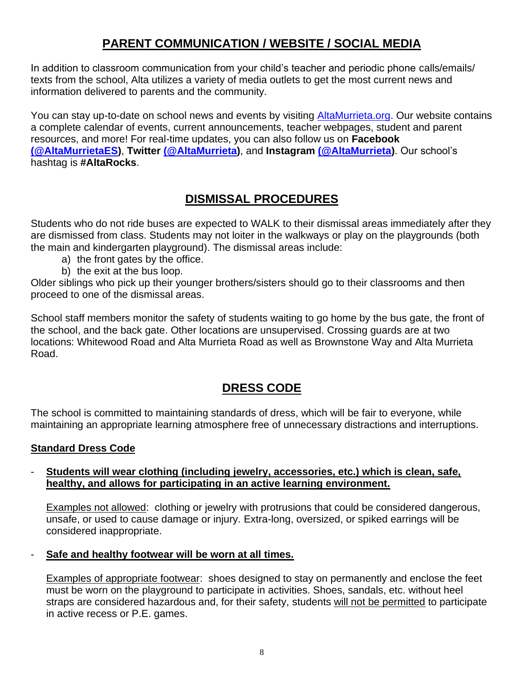# **PARENT COMMUNICATION / WEBSITE / SOCIAL MEDIA**

In addition to classroom communication from your child's teacher and periodic phone calls/emails/ texts from the school, Alta utilizes a variety of media outlets to get the most current news and information delivered to parents and the community.

You can stay up-to-date on school news and events by visiting [AltaMurrieta.org.](http://www.altamurrieta.org/) Our website contains a complete calendar of events, current announcements, teacher webpages, student and parent resources, and more! For real-time updates, you can also follow us on **Facebook [\(@AltaMurrietaES\)](https://www.facebook.com/AltaMurrietaES)**, **Twitter [\(@AltaMurrieta\)](https://twitter.com/altamurrieta)**, and **Instagram [\(@AltaMurrieta\)](https://www.instagram.com/altamurrieta/)**. Our school's hashtag is **#AltaRocks**.

# **DISMISSAL PROCEDURES**

Students who do not ride buses are expected to WALK to their dismissal areas immediately after they are dismissed from class. Students may not loiter in the walkways or play on the playgrounds (both the main and kindergarten playground). The dismissal areas include:

- a) the front gates by the office.
- b) the exit at the bus loop.

Older siblings who pick up their younger brothers/sisters should go to their classrooms and then proceed to one of the dismissal areas.

School staff members monitor the safety of students waiting to go home by the bus gate, the front of the school, and the back gate. Other locations are unsupervised. Crossing guards are at two locations: Whitewood Road and Alta Murrieta Road as well as Brownstone Way and Alta Murrieta Road.

# **DRESS CODE**

The school is committed to maintaining standards of dress, which will be fair to everyone, while maintaining an appropriate learning atmosphere free of unnecessary distractions and interruptions.

### **Standard Dress Code**

#### - **Students will wear clothing (including jewelry, accessories, etc.) which is clean, safe, healthy, and allows for participating in an active learning environment.**

Examples not allowed: clothing or jewelry with protrusions that could be considered dangerous, unsafe, or used to cause damage or injury. Extra-long, oversized, or spiked earrings will be considered inappropriate.

- **Safe and healthy footwear will be worn at all times.**

Examples of appropriate footwear: shoes designed to stay on permanently and enclose the feet must be worn on the playground to participate in activities. Shoes, sandals, etc. without heel straps are considered hazardous and, for their safety, students will not be permitted to participate in active recess or P.E. games.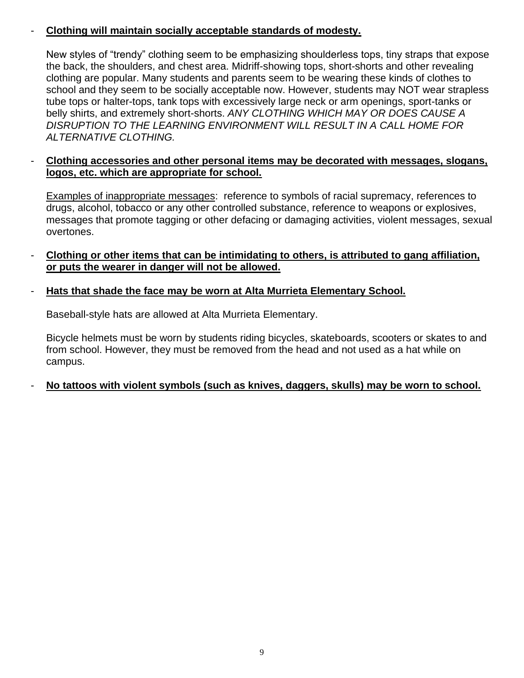### - **Clothing will maintain socially acceptable standards of modesty.**

New styles of "trendy" clothing seem to be emphasizing shoulderless tops, tiny straps that expose the back, the shoulders, and chest area. Midriff-showing tops, short-shorts and other revealing clothing are popular. Many students and parents seem to be wearing these kinds of clothes to school and they seem to be socially acceptable now. However, students may NOT wear strapless tube tops or halter-tops, tank tops with excessively large neck or arm openings, sport-tanks or belly shirts, and extremely short-shorts. *ANY CLOTHING WHICH MAY OR DOES CAUSE A DISRUPTION TO THE LEARNING ENVIRONMENT WILL RESULT IN A CALL HOME FOR ALTERNATIVE CLOTHING.*

### - **Clothing accessories and other personal items may be decorated with messages, slogans, logos, etc. which are appropriate for school.**

Examples of inappropriate messages: reference to symbols of racial supremacy, references to drugs, alcohol, tobacco or any other controlled substance, reference to weapons or explosives, messages that promote tagging or other defacing or damaging activities, violent messages, sexual overtones.

- **Clothing or other items that can be intimidating to others, is attributed to gang affiliation, or puts the wearer in danger will not be allowed.**

### - **Hats that shade the face may be worn at Alta Murrieta Elementary School.**

Baseball-style hats are allowed at Alta Murrieta Elementary.

Bicycle helmets must be worn by students riding bicycles, skateboards, scooters or skates to and from school. However, they must be removed from the head and not used as a hat while on campus.

### No tattoos with violent symbols (such as knives, daggers, skulls) may be worn to school.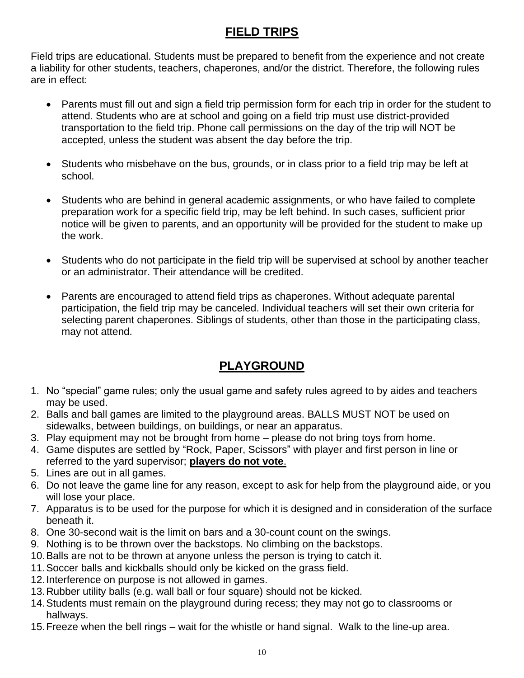# **FIELD TRIPS**

Field trips are educational. Students must be prepared to benefit from the experience and not create a liability for other students, teachers, chaperones, and/or the district. Therefore, the following rules are in effect:

- Parents must fill out and sign a field trip permission form for each trip in order for the student to attend. Students who are at school and going on a field trip must use district-provided transportation to the field trip. Phone call permissions on the day of the trip will NOT be accepted, unless the student was absent the day before the trip.
- Students who misbehave on the bus, grounds, or in class prior to a field trip may be left at school.
- Students who are behind in general academic assignments, or who have failed to complete preparation work for a specific field trip, may be left behind. In such cases, sufficient prior notice will be given to parents, and an opportunity will be provided for the student to make up the work.
- Students who do not participate in the field trip will be supervised at school by another teacher or an administrator. Their attendance will be credited.
- Parents are encouraged to attend field trips as chaperones. Without adequate parental participation, the field trip may be canceled. Individual teachers will set their own criteria for selecting parent chaperones. Siblings of students, other than those in the participating class, may not attend.

# **PLAYGROUND**

- 1. No "special" game rules; only the usual game and safety rules agreed to by aides and teachers may be used.
- 2. Balls and ball games are limited to the playground areas. BALLS MUST NOT be used on sidewalks, between buildings, on buildings, or near an apparatus.
- 3. Play equipment may not be brought from home please do not bring toys from home.
- 4. Game disputes are settled by "Rock, Paper, Scissors" with player and first person in line or referred to the yard supervisor; **players do not vote**.
- 5. Lines are out in all games.
- 6. Do not leave the game line for any reason, except to ask for help from the playground aide, or you will lose your place.
- 7. Apparatus is to be used for the purpose for which it is designed and in consideration of the surface beneath it.
- 8. One 30-second wait is the limit on bars and a 30-count count on the swings.
- 9. Nothing is to be thrown over the backstops. No climbing on the backstops.
- 10.Balls are not to be thrown at anyone unless the person is trying to catch it.
- 11.Soccer balls and kickballs should only be kicked on the grass field.
- 12.Interference on purpose is not allowed in games.
- 13.Rubber utility balls (e.g. wall ball or four square) should not be kicked.
- 14.Students must remain on the playground during recess; they may not go to classrooms or hallways.
- 15.Freeze when the bell rings wait for the whistle or hand signal. Walk to the line-up area.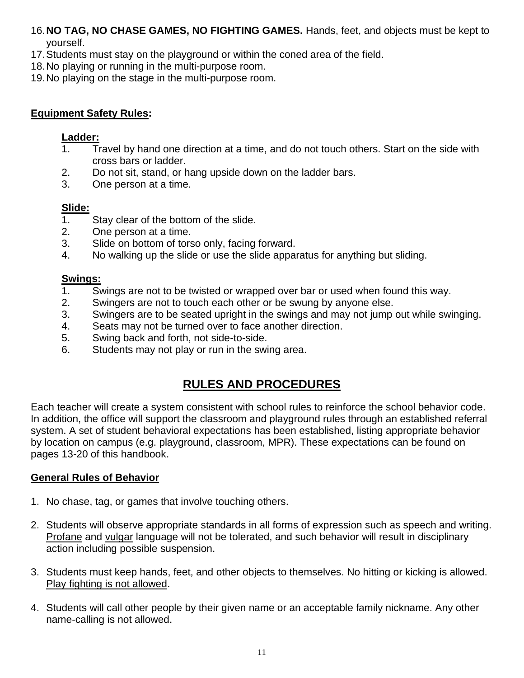16.**NO TAG, NO CHASE GAMES, NO FIGHTING GAMES.** Hands, feet, and objects must be kept to yourself.

- 17.Students must stay on the playground or within the coned area of the field.
- 18.No playing or running in the multi-purpose room.
- 19.No playing on the stage in the multi-purpose room.

### **Equipment Safety Rules:**

#### **Ladder:**

- 1. Travel by hand one direction at a time, and do not touch others. Start on the side with cross bars or ladder.
- 2. Do not sit, stand, or hang upside down on the ladder bars.
- 3. One person at a time.

### **Slide:**

- 1. Stay clear of the bottom of the slide.
- 2. One person at a time.
- 3. Slide on bottom of torso only, facing forward.
- 4. No walking up the slide or use the slide apparatus for anything but sliding.

### **Swings:**

- 1. Swings are not to be twisted or wrapped over bar or used when found this way.
- 2. Swingers are not to touch each other or be swung by anyone else.
- 3. Swingers are to be seated upright in the swings and may not jump out while swinging.
- 4. Seats may not be turned over to face another direction.
- 5. Swing back and forth, not side-to-side.
- 6. Students may not play or run in the swing area.

# **RULES AND PROCEDURES**

Each teacher will create a system consistent with school rules to reinforce the school behavior code. In addition, the office will support the classroom and playground rules through an established referral system. A set of student behavioral expectations has been established, listing appropriate behavior by location on campus (e.g. playground, classroom, MPR). These expectations can be found on pages 13-20 of this handbook.

### **General Rules of Behavior**

- 1. No chase, tag, or games that involve touching others.
- 2. Students will observe appropriate standards in all forms of expression such as speech and writing. Profane and vulgar language will not be tolerated, and such behavior will result in disciplinary action including possible suspension.
- 3. Students must keep hands, feet, and other objects to themselves. No hitting or kicking is allowed. Play fighting is not allowed.
- 4. Students will call other people by their given name or an acceptable family nickname. Any other name-calling is not allowed.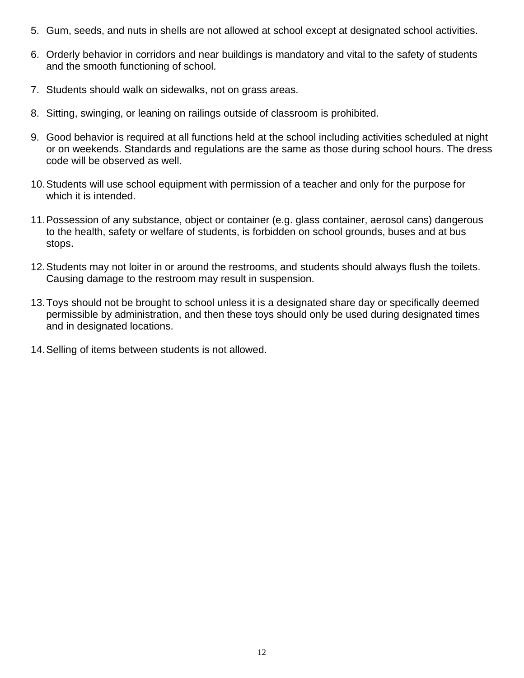- 5. Gum, seeds, and nuts in shells are not allowed at school except at designated school activities.
- 6. Orderly behavior in corridors and near buildings is mandatory and vital to the safety of students and the smooth functioning of school.
- 7. Students should walk on sidewalks, not on grass areas.
- 8. Sitting, swinging, or leaning on railings outside of classroom is prohibited.
- 9. Good behavior is required at all functions held at the school including activities scheduled at night or on weekends. Standards and regulations are the same as those during school hours. The dress code will be observed as well.
- 10.Students will use school equipment with permission of a teacher and only for the purpose for which it is intended.
- 11.Possession of any substance, object or container (e.g. glass container, aerosol cans) dangerous to the health, safety or welfare of students, is forbidden on school grounds, buses and at bus stops.
- 12.Students may not loiter in or around the restrooms, and students should always flush the toilets. Causing damage to the restroom may result in suspension.
- 13.Toys should not be brought to school unless it is a designated share day or specifically deemed permissible by administration, and then these toys should only be used during designated times and in designated locations.
- 14.Selling of items between students is not allowed.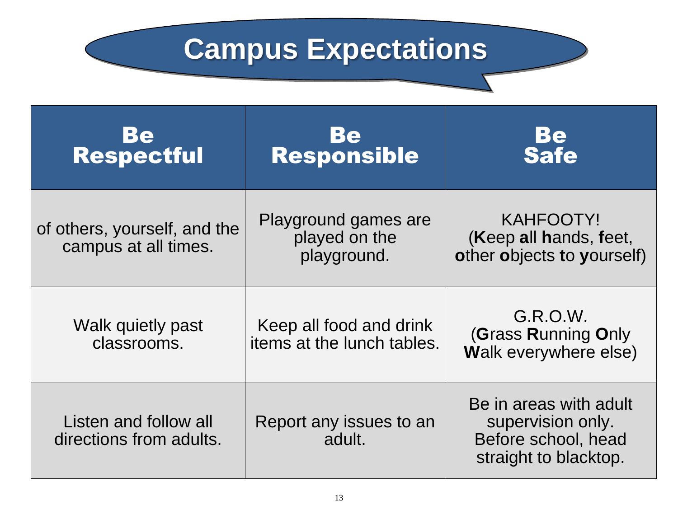# **Campus Expectations**

| Be<br>Respectful                                     | Be<br>Responsible                                     | Be<br>Safe                                                                                  |
|------------------------------------------------------|-------------------------------------------------------|---------------------------------------------------------------------------------------------|
| of others, yourself, and the<br>campus at all times. | Playground games are<br>played on the<br>playground.  | <b>KAHFOOTY!</b><br>(Keep all hands, feet,<br>other objects to yourself)                    |
| Walk quietly past<br>classrooms.                     | Keep all food and drink<br>items at the lunch tables. | G.R.O.W.<br>(Grass Running Only<br>Walk everywhere else)                                    |
| Listen and follow all<br>directions from adults.     | Report any issues to an<br>adult.                     | Be in areas with adult<br>supervision only.<br>Before school, head<br>straight to blacktop. |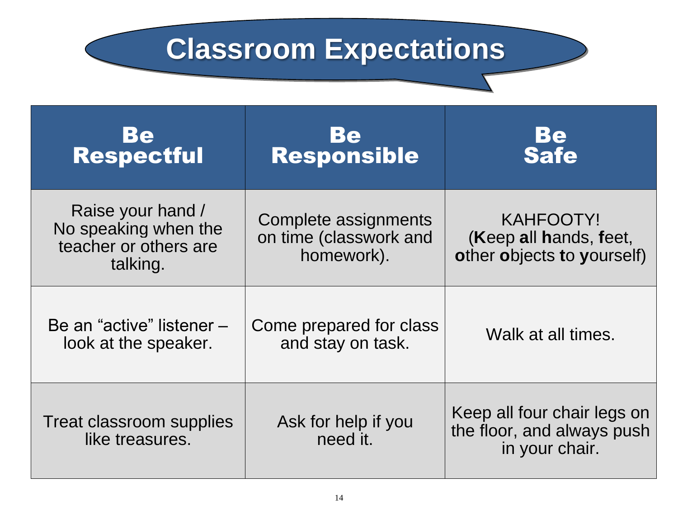# **Classroom Expectations**

| Be<br>Respectful                                                               | Be<br>Responsible                                            | Be<br>Safe                                                                  |
|--------------------------------------------------------------------------------|--------------------------------------------------------------|-----------------------------------------------------------------------------|
| Raise your hand /<br>No speaking when the<br>teacher or others are<br>talking. | Complete assignments<br>on time (classwork and<br>homework). | <b>KAHFOOTY!</b><br>(Keep all hands, feet,<br>other objects to yourself)    |
| Be an "active" listener –<br>look at the speaker.                              | Come prepared for class<br>and stay on task.                 | Walk at all times.                                                          |
| Treat classroom supplies<br>like treasures.                                    | Ask for help if you<br>need it.                              | Keep all four chair legs on<br>the floor, and always push<br>in your chair. |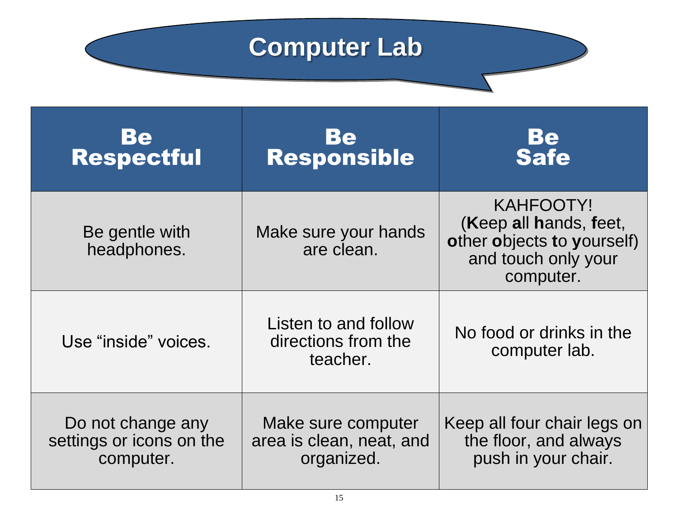# **Computer Lab**

**Experimental** 

| Be<br>Respectful                                           | Be<br>Responsible                                            | Be<br>Safe                                                                                           |
|------------------------------------------------------------|--------------------------------------------------------------|------------------------------------------------------------------------------------------------------|
| Be gentle with<br>headphones.                              | Make sure your hands<br>are clean.                           | KAHFOOTY!<br>Keep all hands, feet,<br>other objects to yourself)<br>and touch only your<br>computer. |
| Use "inside" voices.                                       | Listen to and follow<br>directions from the<br>teacher.      | No food or drinks in the<br>computer lab.                                                            |
| Do not change any<br>settings or icons on the<br>computer. | Make sure computer<br>area is clean, neat, and<br>organized. | Keep all four chair legs on<br>the floor, and always<br>push in your chair.                          |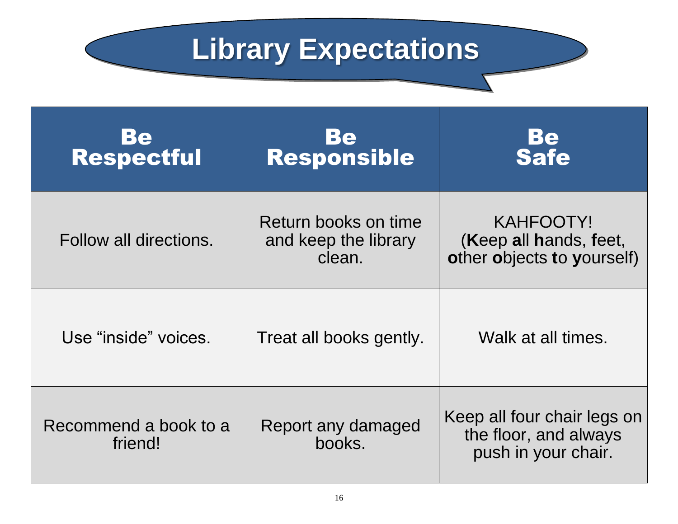# **Library Expectations**

| Be<br><b>Respectful</b>          | <b>Be</b><br><b>Responsible</b>                        | Be<br>Safe                                                                  |
|----------------------------------|--------------------------------------------------------|-----------------------------------------------------------------------------|
| Follow all directions.           | Return books on time<br>and keep the library<br>clean. | KAHFOOTY!<br>(Keep all hands, feet,<br>other objects to yourself)           |
| Use "inside" voices.             | Treat all books gently.                                | Walk at all times.                                                          |
| Recommend a book to a<br>friend! | Report any damaged<br>books.                           | Keep all four chair legs on<br>the floor, and always<br>push in your chair. |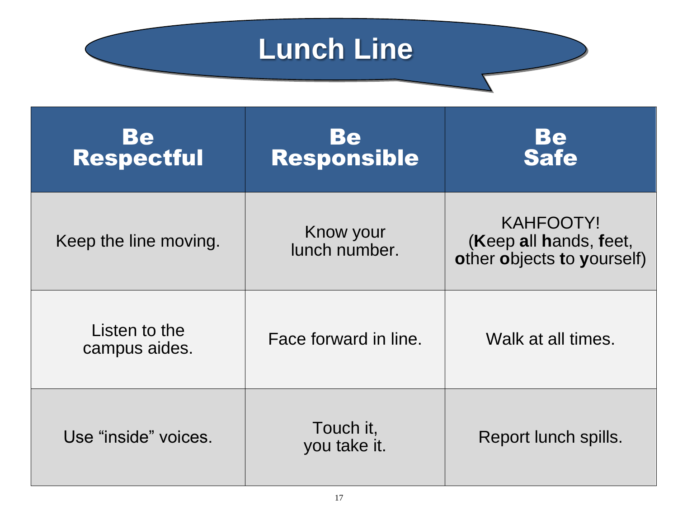# **Lunch Line**

**Expectations**

| Bel<br><b>Respectful</b>       | Be<br><b>Responsible</b>   | Be<br>Safe                                                               |
|--------------------------------|----------------------------|--------------------------------------------------------------------------|
| Keep the line moving.          | Know your<br>lunch number. | <b>KAHFOOTY!</b><br>(Keep all hands, feet,<br>other objects to yourself) |
| Listen to the<br>campus aides. | Face forward in line.      | Walk at all times.                                                       |
| Use "inside" voices.           | Touch it,<br>you take it.  | Report lunch spills.                                                     |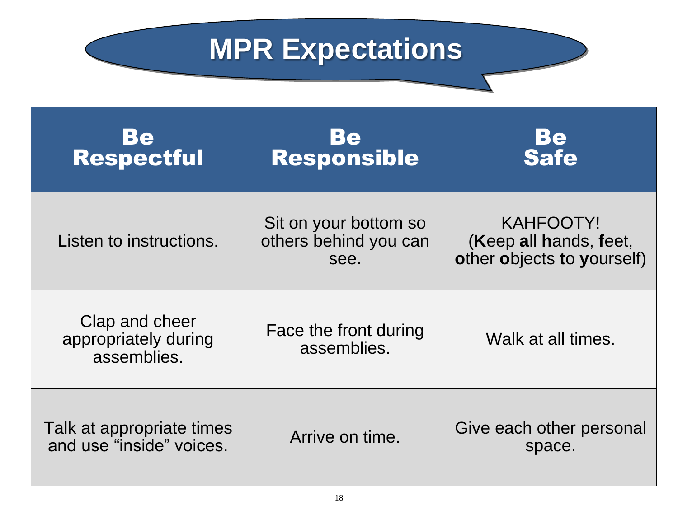# **MPR Expectations**

| Be<br><b>Respectful</b>                               | <b>Be</b><br><b>Responsible</b>                        | Be<br>Safe                                                        |
|-------------------------------------------------------|--------------------------------------------------------|-------------------------------------------------------------------|
| Listen to instructions.                               | Sit on your bottom so<br>others behind you can<br>see. | KAHFOOTY!<br>(Keep all hands, feet,<br>other objects to yourself) |
| Clap and cheer<br>appropriately during<br>assemblies. | Face the front during<br>assemblies.                   | Walk at all times.                                                |
| Talk at appropriate times<br>and use "inside" voices. | Arrive on time.                                        | Give each other personal<br>space.                                |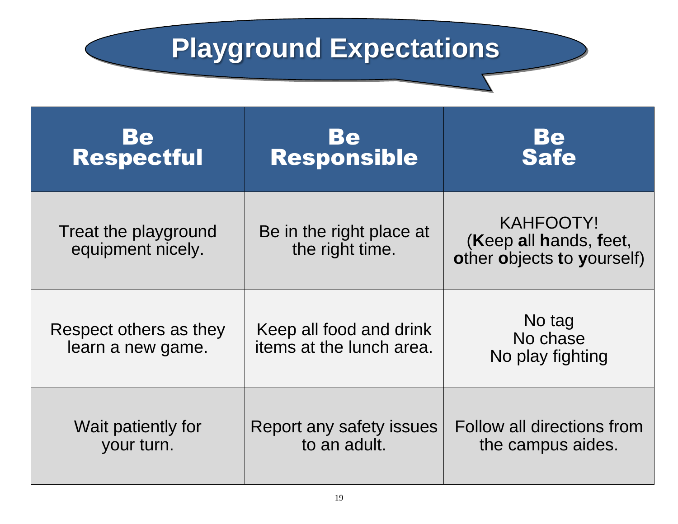# **Playground Expectations**

| <b>Be</b><br>Respectful                     | Be<br>Responsible                                   | Be<br>Safe                                                               |
|---------------------------------------------|-----------------------------------------------------|--------------------------------------------------------------------------|
| Treat the playground<br>equipment nicely.   | Be in the right place at<br>the right time.         | <b>KAHFOOTY!</b><br>(Keep all hands, feet,<br>other objects to yourself) |
| Respect others as they<br>learn a new game. | Keep all food and drink<br>items at the lunch area. | No tag<br>No chase<br>No play fighting                                   |
| Wait patiently for<br>your turn.            | Report any safety issues<br>to an adult.            | Follow all directions from<br>the campus aides.                          |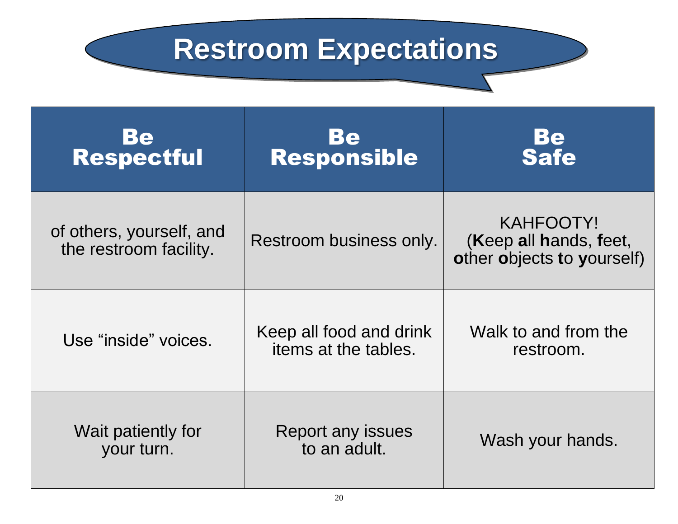# **Restroom Expectations**

| Be<br>Respectful                                   | <b>Be</b><br>Responsible                        | Be<br>Safe                                                        |
|----------------------------------------------------|-------------------------------------------------|-------------------------------------------------------------------|
| of others, yourself, and<br>the restroom facility. | Restroom business only.                         | KAHFOOTY!<br>(Keep all hands, feet,<br>other objects to yourself) |
| Use "inside" voices.                               | Keep all food and drink<br>items at the tables. | Walk to and from the<br>restroom.                                 |
| Wait patiently for<br>your turn.                   | Report any issues<br>to an adult.               | Wash your hands.                                                  |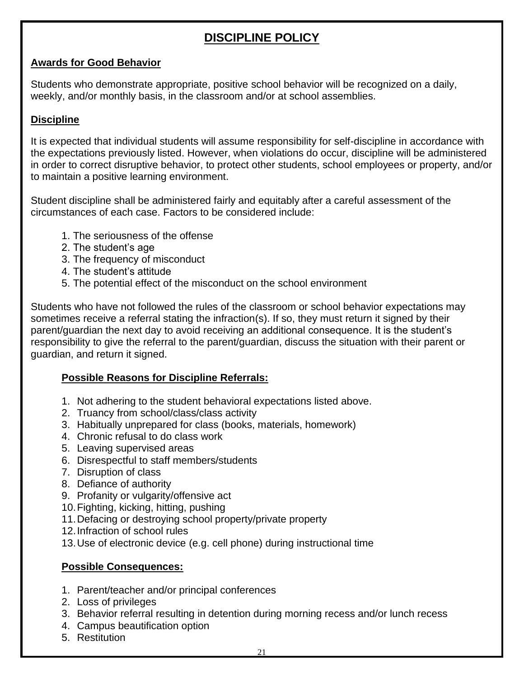# **DISCIPLINE POLICY**

### **Awards for Good Behavior**

Students who demonstrate appropriate, positive school behavior will be recognized on a daily, weekly, and/or monthly basis, in the classroom and/or at school assemblies.

### **Discipline**

It is expected that individual students will assume responsibility for self-discipline in accordance with the expectations previously listed. However, when violations do occur, discipline will be administered in order to correct disruptive behavior, to protect other students, school employees or property, and/or to maintain a positive learning environment.

Student discipline shall be administered fairly and equitably after a careful assessment of the circumstances of each case. Factors to be considered include:

- 1. The seriousness of the offense
- 2. The student's age
- 3. The frequency of misconduct
- 4. The student's attitude
- 5. The potential effect of the misconduct on the school environment

Students who have not followed the rules of the classroom or school behavior expectations may sometimes receive a referral stating the infraction(s). If so, they must return it signed by their parent/guardian the next day to avoid receiving an additional consequence. It is the student's responsibility to give the referral to the parent/guardian, discuss the situation with their parent or guardian, and return it signed.

### **Possible Reasons for Discipline Referrals:**

- 1. Not adhering to the student behavioral expectations listed above.
- 2. Truancy from school/class/class activity
- 3. Habitually unprepared for class (books, materials, homework)
- 4. Chronic refusal to do class work
- 5. Leaving supervised areas
- 6. Disrespectful to staff members/students
- 7. Disruption of class
- 8. Defiance of authority
- 9. Profanity or vulgarity/offensive act
- 10.Fighting, kicking, hitting, pushing
- 11.Defacing or destroying school property/private property
- 12.Infraction of school rules
- 13.Use of electronic device (e.g. cell phone) during instructional time

### **Possible Consequences:**

- 1. Parent/teacher and/or principal conferences
- 2. Loss of privileges
- 3. Behavior referral resulting in detention during morning recess and/or lunch recess
- 4. Campus beautification option
- 5. Restitution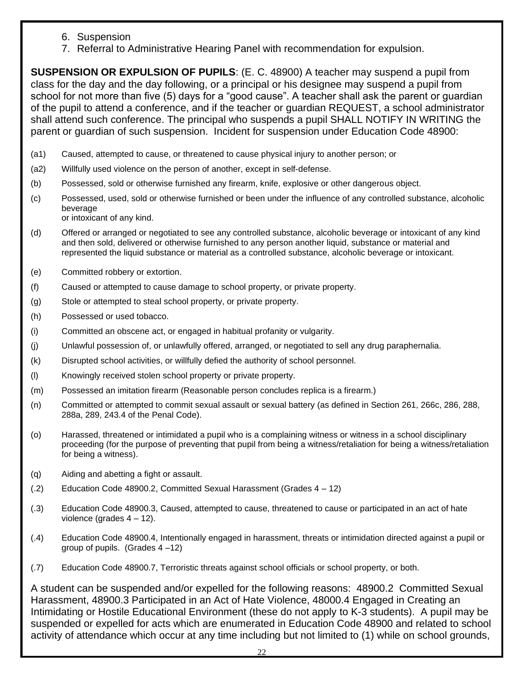- 6. Suspension
- 7. Referral to Administrative Hearing Panel with recommendation for expulsion.

**SUSPENSION OR EXPULSION OF PUPILS**: (E. C. 48900) A teacher may suspend a pupil from class for the day and the day following, or a principal or his designee may suspend a pupil from school for not more than five (5) days for a "good cause". A teacher shall ask the parent or guardian of the pupil to attend a conference, and if the teacher or guardian REQUEST, a school administrator shall attend such conference. The principal who suspends a pupil SHALL NOTIFY IN WRITING the parent or guardian of such suspension. Incident for suspension under Education Code 48900:

- (a1) Caused, attempted to cause, or threatened to cause physical injury to another person; or
- (a2) Willfully used violence on the person of another, except in self-defense.
- (b) Possessed, sold or otherwise furnished any firearm, knife, explosive or other dangerous object.
- (c) Possessed, used, sold or otherwise furnished or been under the influence of any controlled substance, alcoholic beverage or intoxicant of any kind.
- (d) Offered or arranged or negotiated to see any controlled substance, alcoholic beverage or intoxicant of any kind and then sold, delivered or otherwise furnished to any person another liquid, substance or material and represented the liquid substance or material as a controlled substance, alcoholic beverage or intoxicant.
- (e) Committed robbery or extortion.
- (f) Caused or attempted to cause damage to school property, or private property.
- (g) Stole or attempted to steal school property, or private property.
- (h) Possessed or used tobacco.
- (i) Committed an obscene act, or engaged in habitual profanity or vulgarity.
- (j) Unlawful possession of, or unlawfully offered, arranged, or negotiated to sell any drug paraphernalia.
- (k) Disrupted school activities, or willfully defied the authority of school personnel.
- (l) Knowingly received stolen school property or private property.
- (m) Possessed an imitation firearm (Reasonable person concludes replica is a firearm.)
- (n) Committed or attempted to commit sexual assault or sexual battery (as defined in Section 261, 266c, 286, 288, 288a, 289, 243.4 of the Penal Code).
- (o) Harassed, threatened or intimidated a pupil who is a complaining witness or witness in a school disciplinary proceeding (for the purpose of preventing that pupil from being a witness/retaliation for being a witness/retaliation for being a witness).
- (q) Aiding and abetting a fight or assault.
- (.2) Education Code 48900.2, Committed Sexual Harassment (Grades 4 12)
- (.3) Education Code 48900.3, Caused, attempted to cause, threatened to cause or participated in an act of hate violence (grades  $4 - 12$ ).
- (.4) Education Code 48900.4, Intentionally engaged in harassment, threats or intimidation directed against a pupil or group of pupils. (Grades 4 –12)
- (.7) Education Code 48900.7, Terroristic threats against school officials or school property, or both.

A student can be suspended and/or expelled for the following reasons: 48900.2 Committed Sexual Harassment, 48900.3 Participated in an Act of Hate Violence, 48000.4 Engaged in Creating an Intimidating or Hostile Educational Environment (these do not apply to K-3 students). A pupil may be suspended or expelled for acts which are enumerated in Education Code 48900 and related to school activity of attendance which occur at any time including but not limited to (1) while on school grounds,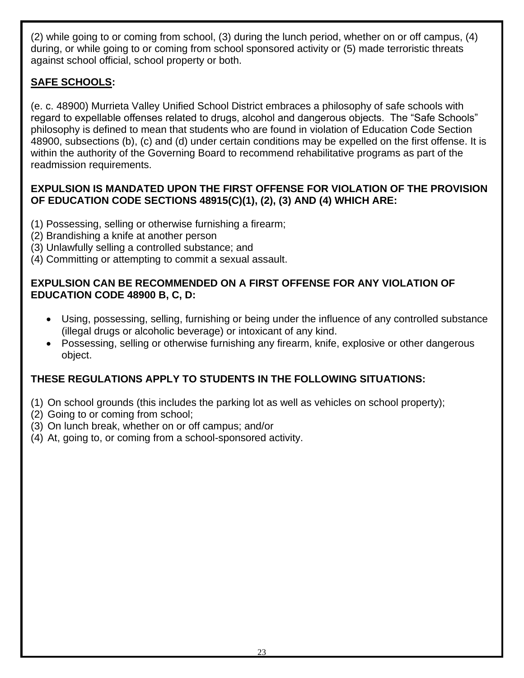(2) while going to or coming from school, (3) during the lunch period, whether on or off campus, (4) during, or while going to or coming from school sponsored activity or (5) made terroristic threats against school official, school property or both.

### **SAFE SCHOOLS:**

(e. c. 48900) Murrieta Valley Unified School District embraces a philosophy of safe schools with regard to expellable offenses related to drugs, alcohol and dangerous objects. The "Safe Schools" philosophy is defined to mean that students who are found in violation of Education Code Section 48900, subsections (b), (c) and (d) under certain conditions may be expelled on the first offense. It is within the authority of the Governing Board to recommend rehabilitative programs as part of the readmission requirements.

### **EXPULSION IS MANDATED UPON THE FIRST OFFENSE FOR VIOLATION OF THE PROVISION OF EDUCATION CODE SECTIONS 48915(C)(1), (2), (3) AND (4) WHICH ARE:**

- (1) Possessing, selling or otherwise furnishing a firearm;
- (2) Brandishing a knife at another person
- (3) Unlawfully selling a controlled substance; and
- (4) Committing or attempting to commit a sexual assault.

### **EXPULSION CAN BE RECOMMENDED ON A FIRST OFFENSE FOR ANY VIOLATION OF EDUCATION CODE 48900 B, C, D:**

- Using, possessing, selling, furnishing or being under the influence of any controlled substance (illegal drugs or alcoholic beverage) or intoxicant of any kind.
- Possessing, selling or otherwise furnishing any firearm, knife, explosive or other dangerous object.

# **THESE REGULATIONS APPLY TO STUDENTS IN THE FOLLOWING SITUATIONS:**

- (1) On school grounds (this includes the parking lot as well as vehicles on school property);
- (2) Going to or coming from school;
- (3) On lunch break, whether on or off campus; and/or
- (4) At, going to, or coming from a school-sponsored activity.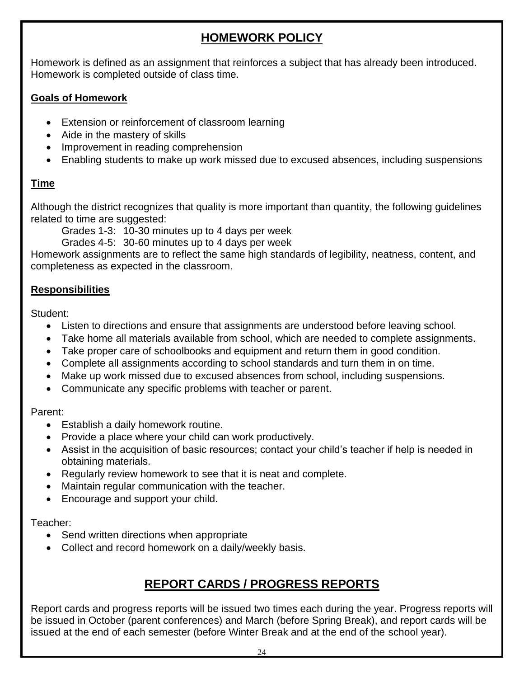# **HOMEWORK POLICY**

Homework is defined as an assignment that reinforces a subject that has already been introduced. Homework is completed outside of class time.

### **Goals of Homework**

- Extension or reinforcement of classroom learning
- Aide in the mastery of skills
- Improvement in reading comprehension
- Enabling students to make up work missed due to excused absences, including suspensions

### **Time**

Although the district recognizes that quality is more important than quantity, the following guidelines related to time are suggested:

Grades 1-3: 10-30 minutes up to 4 days per week

Grades 4-5: 30-60 minutes up to 4 days per week

Homework assignments are to reflect the same high standards of legibility, neatness, content, and completeness as expected in the classroom.

### **Responsibilities**

Student:

- Listen to directions and ensure that assignments are understood before leaving school.
- Take home all materials available from school, which are needed to complete assignments.
- Take proper care of schoolbooks and equipment and return them in good condition.
- Complete all assignments according to school standards and turn them in on time.
- Make up work missed due to excused absences from school, including suspensions.
- Communicate any specific problems with teacher or parent.

### Parent:

- Establish a daily homework routine.
- Provide a place where your child can work productively.
- Assist in the acquisition of basic resources; contact your child's teacher if help is needed in obtaining materials.
- Regularly review homework to see that it is neat and complete.
- Maintain regular communication with the teacher.
- Encourage and support your child.

### Teacher:

- Send written directions when appropriate
- Collect and record homework on a daily/weekly basis.

# **REPORT CARDS / PROGRESS REPORTS**

Report cards and progress reports will be issued two times each during the year. Progress reports will be issued in October (parent conferences) and March (before Spring Break), and report cards will be issued at the end of each semester (before Winter Break and at the end of the school year).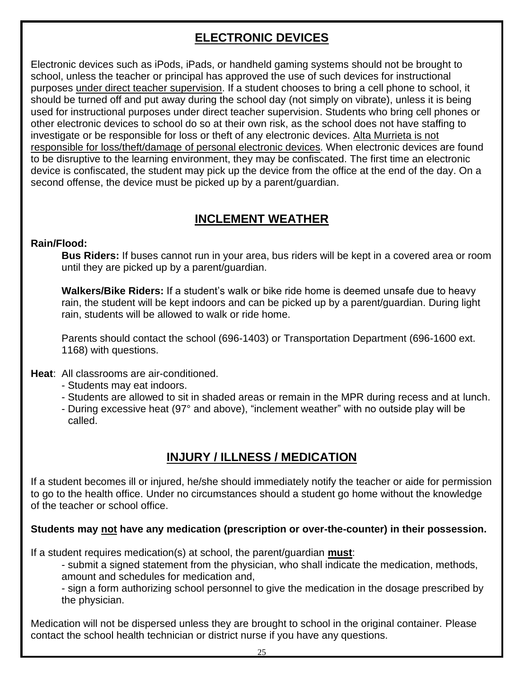# **ELECTRONIC DEVICES**

Electronic devices such as iPods, iPads, or handheld gaming systems should not be brought to school, unless the teacher or principal has approved the use of such devices for instructional purposes under direct teacher supervision. If a student chooses to bring a cell phone to school, it should be turned off and put away during the school day (not simply on vibrate), unless it is being used for instructional purposes under direct teacher supervision. Students who bring cell phones or other electronic devices to school do so at their own risk, as the school does not have staffing to investigate or be responsible for loss or theft of any electronic devices. Alta Murrieta is not responsible for loss/theft/damage of personal electronic devices. When electronic devices are found to be disruptive to the learning environment, they may be confiscated. The first time an electronic device is confiscated, the student may pick up the device from the office at the end of the day. On a second offense, the device must be picked up by a parent/guardian.

# **INCLEMENT WEATHER**

### **Rain/Flood:**

**Bus Riders:** If buses cannot run in your area, bus riders will be kept in a covered area or room until they are picked up by a parent/guardian.

**Walkers/Bike Riders:** If a student's walk or bike ride home is deemed unsafe due to heavy rain, the student will be kept indoors and can be picked up by a parent/guardian. During light rain, students will be allowed to walk or ride home.

Parents should contact the school (696-1403) or Transportation Department (696-1600 ext. 1168) with questions.

### **Heat**: All classrooms are air-conditioned.

- Students may eat indoors.
- Students are allowed to sit in shaded areas or remain in the MPR during recess and at lunch.
- During excessive heat (97° and above), "inclement weather" with no outside play will be called.

# **INJURY / ILLNESS / MEDICATION**

If a student becomes ill or injured, he/she should immediately notify the teacher or aide for permission to go to the health office. Under no circumstances should a student go home without the knowledge of the teacher or school office.

### **Students may not have any medication (prescription or over-the-counter) in their possession.**

If a student requires medication(s) at school, the parent/guardian **must**:

- submit a signed statement from the physician, who shall indicate the medication, methods, amount and schedules for medication and,

- sign a form authorizing school personnel to give the medication in the dosage prescribed by the physician.

Medication will not be dispersed unless they are brought to school in the original container. Please contact the school health technician or district nurse if you have any questions.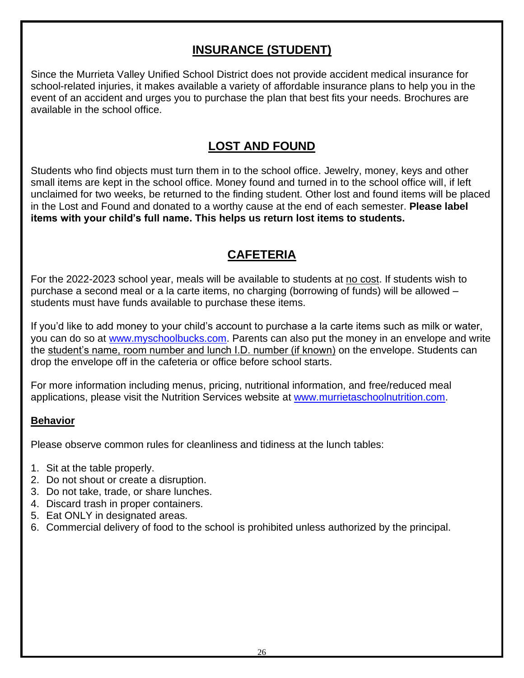# **INSURANCE (STUDENT)**

Since the Murrieta Valley Unified School District does not provide accident medical insurance for school-related injuries, it makes available a variety of affordable insurance plans to help you in the event of an accident and urges you to purchase the plan that best fits your needs. Brochures are available in the school office.

### **LOST AND FOUND**

Students who find objects must turn them in to the school office. Jewelry, money, keys and other small items are kept in the school office. Money found and turned in to the school office will, if left unclaimed for two weeks, be returned to the finding student. Other lost and found items will be placed in the Lost and Found and donated to a worthy cause at the end of each semester. **Please label items with your child's full name. This helps us return lost items to students.**

# **CAFETERIA**

For the 2022-2023 school year, meals will be available to students at no cost. If students wish to purchase a second meal or a la carte items, no charging (borrowing of funds) will be allowed – students must have funds available to purchase these items.

If you'd like to add money to your child's account to purchase a la carte items such as milk or water, you can do so at [www.myschoolbucks.com.](http://www.myschoolbucks.com/) Parents can also put the money in an envelope and write the student's name, room number and lunch I.D. number (if known) on the envelope. Students can drop the envelope off in the cafeteria or office before school starts.

For more information including menus, pricing, nutritional information, and free/reduced meal applications, please visit the Nutrition Services website at [www.murrietaschoolnutrition.com.](http://www.murrietaschoolnutrition.com/)

### **Behavior**

Please observe common rules for cleanliness and tidiness at the lunch tables:

- 1. Sit at the table properly.
- 2. Do not shout or create a disruption.
- 3. Do not take, trade, or share lunches.
- 4. Discard trash in proper containers.
- 5. Eat ONLY in designated areas.
- 6. Commercial delivery of food to the school is prohibited unless authorized by the principal.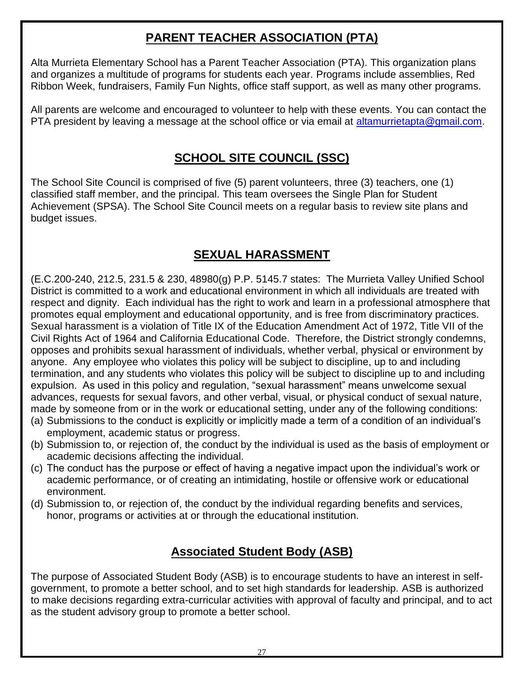# **PARENT TEACHER ASSOCIATION (PTA)**

Alta Murrieta Elementary School has a Parent Teacher Association (PTA). This organization plans and organizes a multitude of programs for students each year. Programs include assemblies, Red Ribbon Week, fundraisers, Family Fun Nights, office staff support, as well as many other programs.

All parents are welcome and encouraged to volunteer to help with these events. You can contact the PTA president by leaving a message at the school office or via email at [altamurrietapta@gmail.com.](mailto:altamurrietapta@gmail.com)

# **SCHOOL SITE COUNCIL (SSC)**

The School Site Council is comprised of five (5) parent volunteers, three (3) teachers, one (1) classified staff member, and the principal. This team oversees the Single Plan for Student Achievement (SPSA). The School Site Council meets on a regular basis to review site plans and budget issues.

# **SEXUAL HARASSMENT**

(E.C.200-240, 212.5, 231.5 & 230, 48980(g) P.P. 5145.7 states: The Murrieta Valley Unified School District is committed to a work and educational environment in which all individuals are treated with respect and dignity. Each individual has the right to work and learn in a professional atmosphere that promotes equal employment and educational opportunity, and is free from discriminatory practices. Sexual harassment is a violation of Title IX of the Education Amendment Act of 1972, Title VII of the Civil Rights Act of 1964 and California Educational Code. Therefore, the District strongly condemns, opposes and prohibits sexual harassment of individuals, whether verbal, physical or environment by anyone. Any employee who violates this policy will be subject to discipline, up to and including termination, and any students who violates this policy will be subject to discipline up to and including expulsion. As used in this policy and regulation, "sexual harassment" means unwelcome sexual advances, requests for sexual favors, and other verbal, visual, or physical conduct of sexual nature, made by someone from or in the work or educational setting, under any of the following conditions:

- (a) Submissions to the conduct is explicitly or implicitly made a term of a condition of an individual's employment, academic status or progress.
- (b) Submission to, or rejection of, the conduct by the individual is used as the basis of employment or academic decisions affecting the individual.
- (c) The conduct has the purpose or effect of having a negative impact upon the individual's work or academic performance, or of creating an intimidating, hostile or offensive work or educational environment.
- (d) Submission to, or rejection of, the conduct by the individual regarding benefits and services, honor, programs or activities at or through the educational institution.

# **Associated Student Body (ASB)**

The purpose of Associated Student Body (ASB) is to encourage students to have an interest in selfgovernment, to promote a better school, and to set high standards for leadership. ASB is authorized to make decisions regarding extra-curricular activities with approval of faculty and principal, and to act as the student advisory group to promote a better school.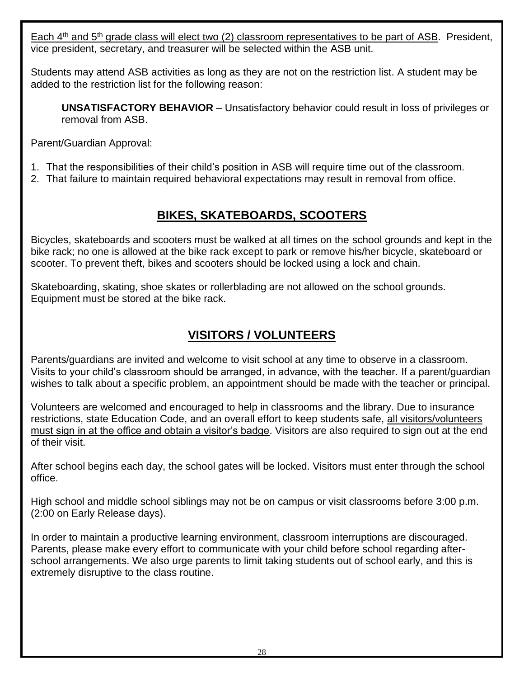Each 4<sup>th</sup> and 5<sup>th</sup> grade class will elect two (2) classroom representatives to be part of ASB. President, vice president, secretary, and treasurer will be selected within the ASB unit.

Students may attend ASB activities as long as they are not on the restriction list. A student may be added to the restriction list for the following reason:

**UNSATISFACTORY BEHAVIOR** – Unsatisfactory behavior could result in loss of privileges or removal from ASB.

Parent/Guardian Approval:

- 1. That the responsibilities of their child's position in ASB will require time out of the classroom.
- 2. That failure to maintain required behavioral expectations may result in removal from office.

# **BIKES, SKATEBOARDS, SCOOTERS**

Bicycles, skateboards and scooters must be walked at all times on the school grounds and kept in the bike rack; no one is allowed at the bike rack except to park or remove his/her bicycle, skateboard or scooter. To prevent theft, bikes and scooters should be locked using a lock and chain.

Skateboarding, skating, shoe skates or rollerblading are not allowed on the school grounds. Equipment must be stored at the bike rack.

# **VISITORS / VOLUNTEERS**

Parents/guardians are invited and welcome to visit school at any time to observe in a classroom. Visits to your child's classroom should be arranged, in advance, with the teacher. If a parent/guardian wishes to talk about a specific problem, an appointment should be made with the teacher or principal.

Volunteers are welcomed and encouraged to help in classrooms and the library. Due to insurance restrictions, state Education Code, and an overall effort to keep students safe, all visitors/volunteers must sign in at the office and obtain a visitor's badge. Visitors are also required to sign out at the end of their visit.

After school begins each day, the school gates will be locked. Visitors must enter through the school office.

High school and middle school siblings may not be on campus or visit classrooms before 3:00 p.m. (2:00 on Early Release days).

In order to maintain a productive learning environment, classroom interruptions are discouraged. Parents, please make every effort to communicate with your child before school regarding afterschool arrangements. We also urge parents to limit taking students out of school early, and this is extremely disruptive to the class routine.